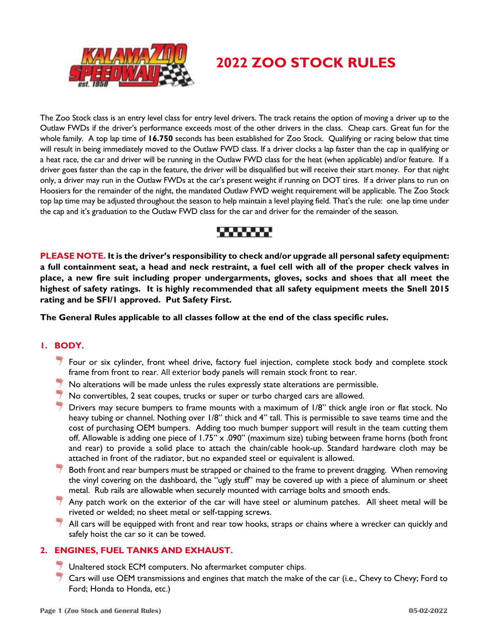

# **2022 ZOO STOCK RULES**

The Zoo Stock class is an entry level class for entry level drivers. The track retains the option of moving a driver up to the Outlaw FWDs if the driver's performance exceeds most of the other drivers in the class. Cheap cars. Great fun for the whole family. A top lap time of **16.750** seconds has been established for Zoo Stock. Qualifying or racing below that time will result in being immediately moved to the Outlaw FWD class. If a driver clocks a lap faster than the cap in qualifying or a heat race, the car and driver will be running in the Outlaw FWD class for the heat (when applicable) and/or feature. If a driver goes faster than the cap in the feature, the driver will be disqualified but will receive their start money. For that night only, a driver may run in the Outlaw FWDs at the car's present weight if running on DOT tires. If a driver plans to run on Hoosiers for the remainder of the night, the mandated Outlaw FWD weight requirement will be applicable. The Zoo Stock top lap time may be adjusted throughout the season to help maintain a level playing field. That's the rule: one lap time under the cap and it's graduation to the Outlaw FWD class for the car and driver for the remainder of the season.



**PLEASE NOTE. It is the driver's responsibility to check and/or upgrade all personal safety equipment: a full containment seat, a head and neck restraint, a fuel cell with all of the proper check valves in place, a new fire suit including proper undergarments, gloves, socks and shoes that all meet the highest of safety ratings. It is highly recommended that all safety equipment meets the Snell 2015 rating and be SFI/1 approved. Put Safety First.**

**The General Rules applicable to all classes follow at the end of the class specific rules.** 

## **1. BODY.**

- $*$  Four or six cylinder, front wheel drive, factory fuel injection, complete stock body and complete stock frame from front to rear. All exterior body panels will remain stock front to rear.
- $\overline{\phantom{a}}$  No alterations will be made unless the rules expressly state alterations are permissible.
- $\overset{\text{\tiny def}}{7}$  No convertibles, 2 seat coupes, trucks or super or turbo charged cars are allowed.
- Drivers may secure bumpers to frame mounts with a maximum of 1/8" thick angle iron or flat stock. No heavy tubing or channel. Nothing over 1/8" thick and 4" tall. This is permissible to save teams time and the cost of purchasing OEM bumpers. Adding too much bumper support will result in the team cutting them off. Allowable is adding one piece of 1.75" x .090" (maximum size) tubing between frame horns (both front and rear) to provide a solid place to attach the chain/cable hook-up. Standard hardware cloth may be attached in front of the radiator, but no expanded steel or equivalent is allowed.
- Both front and rear bumpers must be strapped or chained to the frame to prevent dragging. When removing the vinyl covering on the dashboard, the "ugly stuff" may be covered up with a piece of aluminum or sheet metal. Rub rails are allowable when securely mounted with carriage bolts and smooth ends.
- $*$  Any patch work on the exterior of the car will have steel or aluminum patches. All sheet metal will be riveted or welded; no sheet metal or self-tapping screws.
- $*$  All cars will be equipped with front and rear tow hooks, straps or chains where a wrecker can quickly and safely hoist the car so it can be towed.

# **2. ENGINES, FUEL TANKS AND EXHAUST.**

- Unaltered stock ECM computers. No aftermarket computer chips.
- Cars will use OEM transmissions and engines that match the make of the car (i.e., Chevy to Chevy; Ford to Ford; Honda to Honda, etc.)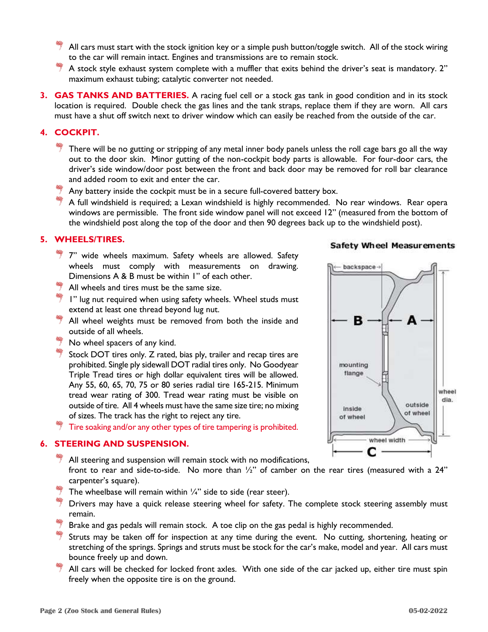- All cars must start with the stock ignition key or a simple push button/toggle switch. All of the stock wiring to the car will remain intact. Engines and transmissions are to remain stock.
- $^*$  A stock style exhaust system complete with a muffler that exits behind the driver's seat is mandatory. 2" maximum exhaust tubing; catalytic converter not needed.
- **3. GAS TANKS AND BATTERIES.** A racing fuel cell or a stock gas tank in good condition and in its stock location is required. Double check the gas lines and the tank straps, replace them if they are worn. All cars must have a shut off switch next to driver window which can easily be reached from the outside of the car.

# **4. COCKPIT.**

- There will be no gutting or stripping of any metal inner body panels unless the roll cage bars go all the way out to the door skin. Minor gutting of the non-cockpit body parts is allowable. For four-door cars, the driver's side window/door post between the front and back door may be removed for roll bar clearance and added room to exit and enter the car.
- $\overset{\text{\tiny def}}{=}$  Any battery inside the cockpit must be in a secure full-covered battery box.
- $*$  A full windshield is required; a Lexan windshield is highly recommended. No rear windows. Rear opera windows are permissible. The front side window panel will not exceed 12" (measured from the bottom of the windshield post along the top of the door and then 90 degrees back up to the windshield post).

## **5. WHEELS/TIRES.**

- $\overline{\overline{T}}$  7" wide wheels maximum. Safety wheels are allowed. Safety wheels must comply with measurements on drawing. Dimensions A & B must be within 1" of each other.
- $\frac{1}{2}$  All wheels and tires must be the same size.
- $*$  1" lug nut required when using safety wheels. Wheel studs must extend at least one thread beyond lug nut.
- $\frac{4}{3}$  All wheel weights must be removed from both the inside and outside of all wheels.
- No wheel spacers of any kind.
- $\frac{4}{7}$  Stock DOT tires only. Z rated, bias ply, trailer and recap tires are prohibited. Single ply sidewall DOT radial tires only. No Goodyear Triple Tread tires or high dollar equivalent tires will be allowed. Any 55, 60, 65, 70, 75 or 80 series radial tire 165-215. Minimum tread wear rating of 300. Tread wear rating must be visible on outside of tire. All 4 wheels must have the same size tire; no mixing of sizes. The track has the right to reject any tire.
- $\ ^{\ast\ast}$  Tire soaking and/or any other types of tire tampering is prohibited.

#### **6. STEERING AND SUSPENSION.**

- All steering and suspension will remain stock with no modifications,
- front to rear and side-to-side. No more than  $\frac{1}{2}$ " of camber on the rear tires (measured with a 24" carpenter's square).
- The wheelbase will remain within  $\frac{1}{4}$ " side to side (rear steer).
- Drivers may have a quick release steering wheel for safety. The complete stock steering assembly must remain.
- Brake and gas pedals will remain stock. A toe clip on the gas pedal is highly recommended.
- Struts may be taken off for inspection at any time during the event. No cutting, shortening, heating or stretching of the springs. Springs and struts must be stock for the car's make, model and year. All cars must bounce freely up and down.
- All cars will be checked for locked front axles. With one side of the car jacked up, either tire must spin freely when the opposite tire is on the ground.

#### **Safety Wheel Measurements**

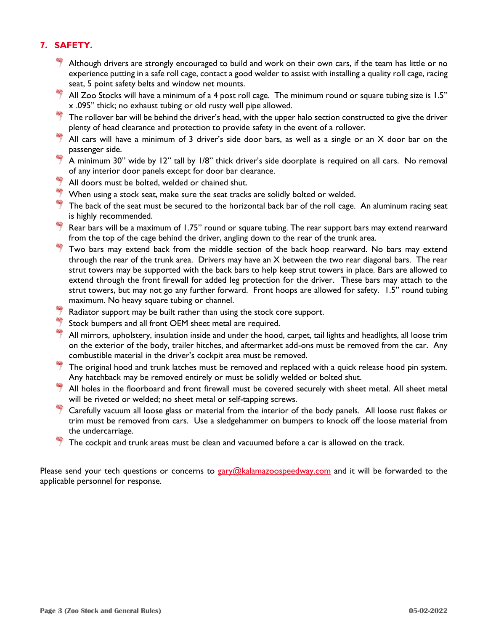# **7. SAFETY.**

- $\overline{7}$  Although drivers are strongly encouraged to build and work on their own cars, if the team has little or no experience putting in a safe roll cage, contact a good welder to assist with installing a quality roll cage, racing seat, 5 point safety belts and window net mounts.
- $^{\ast\ast}$  All Zoo Stocks will have a minimum of a 4 post roll cage. The minimum round or square tubing size is 1.5" x .095" thick; no exhaust tubing or old rusty well pipe allowed.
- $\overset{\text{\tiny def}}{=}$  The rollover bar will be behind the driver's head, with the upper halo section constructed to give the driver plenty of head clearance and protection to provide safety in the event of a rollover.
- $\stackrel{\text{\tiny def}}{=}$  All cars will have a minimum of 3 driver's side door bars, as well as a single or an X door bar on the passenger side.
- $\overline{\phantom{a}^*}$  A minimum 30" wide by 12" tall by 1/8" thick driver's side doorplate is required on all cars. No removal of any interior door panels except for door bar clearance.
- $\frac{4}{3}$  All doors must be bolted, welded or chained shut.
- $\stackrel{\text{\tiny def}}{=}$  When using a stock seat, make sure the seat tracks are solidly bolted or welded.
- $*$  The back of the seat must be secured to the horizontal back bar of the roll cage. An aluminum racing seat is highly recommended.
- Rear bars will be a maximum of 1.75" round or square tubing. The rear support bars may extend rearward from the top of the cage behind the driver, angling down to the rear of the trunk area.
- $\overset{\text{\tiny def}}{=}$  Two bars may extend back from the middle section of the back hoop rearward. No bars may extend through the rear of the trunk area. Drivers may have an X between the two rear diagonal bars. The rear strut towers may be supported with the back bars to help keep strut towers in place. Bars are allowed to extend through the front firewall for added leg protection for the driver. These bars may attach to the strut towers, but may not go any further forward. Front hoops are allowed for safety. 1.5" round tubing maximum. No heavy square tubing or channel.
- Radiator support may be built rather than using the stock core support.
- Stock bumpers and all front OEM sheet metal are required.
- All mirrors, upholstery, insulation inside and under the hood, carpet, tail lights and headlights, all loose trim on the exterior of the body, trailer hitches, and aftermarket add-ons must be removed from the car. Any combustible material in the driver's cockpit area must be removed.
- $*$  The original hood and trunk latches must be removed and replaced with a quick release hood pin system. Any hatchback may be removed entirely or must be solidly welded or bolted shut.
- $*$  All holes in the floorboard and front firewall must be covered securely with sheet metal. All sheet metal will be riveted or welded; no sheet metal or self-tapping screws.
- $*$  Carefully vacuum all loose glass or material from the interior of the body panels. All loose rust flakes or trim must be removed from cars. Use a sledgehammer on bumpers to knock off the loose material from the undercarriage.
- The cockpit and trunk areas must be clean and vacuumed before a car is allowed on the track.

Please send your tech questions or concerns to [gary@kalamazoospeedway.com](mailto:gary@kalamazoospeedway.com) and it will be forwarded to the applicable personnel for response.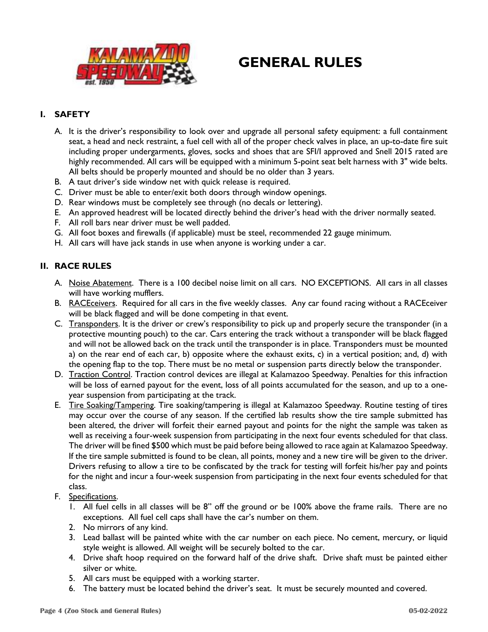

# **GENERAL RULES**

# **I. SAFETY**

- A. It is the driver's responsibility to look over and upgrade all personal safety equipment: a full containment seat, a head and neck restraint, a fuel cell with all of the proper check valves in place, an up-to-date fire suit including proper undergarments, gloves, socks and shoes that are SFI/I approved and Snell 2015 rated are highly recommended. All cars will be equipped with a minimum 5-point seat belt harness with 3" wide belts. All belts should be properly mounted and should be no older than 3 years.
- B. A taut driver's side window net with quick release is required.
- C. Driver must be able to enter/exit both doors through window openings.
- D. Rear windows must be completely see through (no decals or lettering).
- E. An approved headrest will be located directly behind the driver's head with the driver normally seated.
- F. All roll bars near driver must be well padded.
- G. All foot boxes and firewalls (if applicable) must be steel, recommended 22 gauge minimum.
- H. All cars will have jack stands in use when anyone is working under a car.

### **II. RACE RULES**

- A. Noise Abatement. There is a 100 decibel noise limit on all cars. NO EXCEPTIONS. All cars in all classes will have working mufflers.
- B. RACEceivers. Required for all cars in the five weekly classes. Any car found racing without a RACEceiver will be black flagged and will be done competing in that event.
- C. Transponders. It is the driver or crew's responsibility to pick up and properly secure the transponder (in a protective mounting pouch) to the car. Cars entering the track without a transponder will be black flagged and will not be allowed back on the track until the transponder is in place. Transponders must be mounted a) on the rear end of each car, b) opposite where the exhaust exits, c) in a vertical position; and, d) with the opening flap to the top. There must be no metal or suspension parts directly below the transponder.
- D. Traction Control. Traction control devices are illegal at Kalamazoo Speedway. Penalties for this infraction will be loss of earned payout for the event, loss of all points accumulated for the season, and up to a oneyear suspension from participating at the track.
- E. Tire Soaking/Tampering. Tire soaking/tampering is illegal at Kalamazoo Speedway. Routine testing of tires may occur over the course of any season. If the certified lab results show the tire sample submitted has been altered, the driver will forfeit their earned payout and points for the night the sample was taken as well as receiving a four-week suspension from participating in the next four events scheduled for that class. The driver will be fined \$500 which must be paid before being allowed to race again at Kalamazoo Speedway. If the tire sample submitted is found to be clean, all points, money and a new tire will be given to the driver. Drivers refusing to allow a tire to be confiscated by the track for testing will forfeit his/her pay and points for the night and incur a four-week suspension from participating in the next four events scheduled for that class.
- F. Specifications.
	- 1. All fuel cells in all classes will be 8" off the ground or be 100% above the frame rails. There are no exceptions. All fuel cell caps shall have the car's number on them.
	- 2. No mirrors of any kind.
	- 3. Lead ballast will be painted white with the car number on each piece. No cement, mercury, or liquid style weight is allowed. All weight will be securely bolted to the car.
	- 4. Drive shaft hoop required on the forward half of the drive shaft. Drive shaft must be painted either silver or white.
	- 5. All cars must be equipped with a working starter.
	- 6. The battery must be located behind the driver's seat. It must be securely mounted and covered.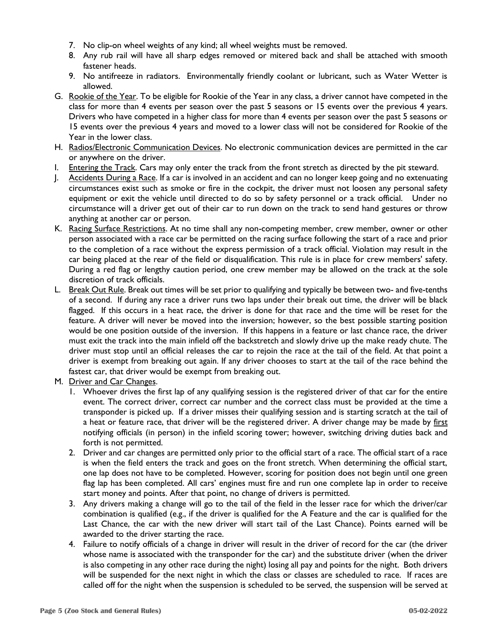- 7. No clip-on wheel weights of any kind; all wheel weights must be removed.
- 8. Any rub rail will have all sharp edges removed or mitered back and shall be attached with smooth fastener heads.
- 9. No antifreeze in radiators. Environmentally friendly coolant or lubricant, such as Water Wetter is allowed.
- G. Rookie of the Year. To be eligible for Rookie of the Year in any class, a driver cannot have competed in the class for more than 4 events per season over the past 5 seasons or 15 events over the previous 4 years. Drivers who have competed in a higher class for more than 4 events per season over the past 5 seasons or 15 events over the previous 4 years and moved to a lower class will not be considered for Rookie of the Year in the lower class.
- H. Radios/Electronic Communication Devices. No electronic communication devices are permitted in the car or anywhere on the driver.
- I. Entering the Track. Cars may only enter the track from the front stretch as directed by the pit steward.
- J. Accidents During a Race. If a car is involved in an accident and can no longer keep going and no extenuating circumstances exist such as smoke or fire in the cockpit, the driver must not loosen any personal safety equipment or exit the vehicle until directed to do so by safety personnel or a track official. Under no circumstance will a driver get out of their car to run down on the track to send hand gestures or throw anything at another car or person.
- K. Racing Surface Restrictions. At no time shall any non-competing member, crew member, owner or other person associated with a race car be permitted on the racing surface following the start of a race and prior to the completion of a race without the express permission of a track official. Violation may result in the car being placed at the rear of the field or disqualification. This rule is in place for crew members' safety. During a red flag or lengthy caution period, one crew member may be allowed on the track at the sole discretion of track officials.
- L. Break Out Rule. Break out times will be set prior to qualifying and typically be between two- and five-tenths of a second. If during any race a driver runs two laps under their break out time, the driver will be black flagged. If this occurs in a heat race, the driver is done for that race and the time will be reset for the feature. A driver will never be moved into the inversion; however, so the best possible starting position would be one position outside of the inversion. If this happens in a feature or last chance race, the driver must exit the track into the main infield off the backstretch and slowly drive up the make ready chute. The driver must stop until an official releases the car to rejoin the race at the tail of the field. At that point a driver is exempt from breaking out again. If any driver chooses to start at the tail of the race behind the fastest car, that driver would be exempt from breaking out.
- M. Driver and Car Changes.
	- 1. Whoever drives the first lap of any qualifying session is the registered driver of that car for the entire event. The correct driver, correct car number and the correct class must be provided at the time a transponder is picked up. If a driver misses their qualifying session and is starting scratch at the tail of a heat or feature race, that driver will be the registered driver. A driver change may be made by first notifying officials (in person) in the infield scoring tower; however, switching driving duties back and forth is not permitted.
	- 2. Driver and car changes are permitted only prior to the official start of a race. The official start of a race is when the field enters the track and goes on the front stretch. When determining the official start, one lap does not have to be completed. However, scoring for position does not begin until one green flag lap has been completed. All cars' engines must fire and run one complete lap in order to receive start money and points. After that point, no change of drivers is permitted.
	- 3. Any drivers making a change will go to the tail of the field in the lesser race for which the driver/car combination is qualified (e.g., if the driver is qualified for the A Feature and the car is qualified for the Last Chance, the car with the new driver will start tail of the Last Chance). Points earned will be awarded to the driver starting the race.
	- 4. Failure to notify officials of a change in driver will result in the driver of record for the car (the driver whose name is associated with the transponder for the car) and the substitute driver (when the driver is also competing in any other race during the night) losing all pay and points for the night. Both drivers will be suspended for the next night in which the class or classes are scheduled to race. If races are called off for the night when the suspension is scheduled to be served, the suspension will be served at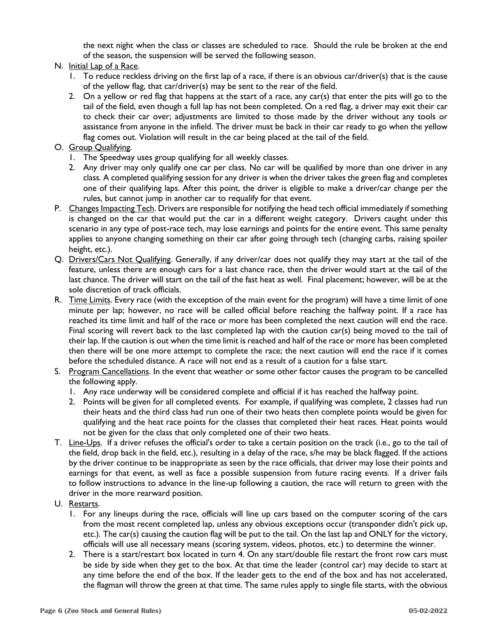the next night when the class or classes are scheduled to race. Should the rule be broken at the end of the season, the suspension will be served the following season.

### N. Initial Lap of a Race.

- 1. To reduce reckless driving on the first lap of a race, if there is an obvious car/driver(s) that is the cause of the yellow flag, that car/driver(s) may be sent to the rear of the field.
- 2. On a yellow or red flag that happens at the start of a race, any car(s) that enter the pits will go to the tail of the field, even though a full lap has not been completed. On a red flag, a driver may exit their car to check their car over; adjustments are limited to those made by the driver without any tools or assistance from anyone in the infield. The driver must be back in their car ready to go when the yellow flag comes out. Violation will result in the car being placed at the tail of the field.
- O. Group Qualifying.
	- 1. The Speedway uses group qualifying for all weekly classes.
	- 2. Any driver may only qualify one car per class. No car will be qualified by more than one driver in any class. A completed qualifying session for any driver is when the driver takes the green flag and completes one of their qualifying laps. After this point, the driver is eligible to make a driver/car change per the rules, but cannot jump in another car to requalify for that event.
- P. Changes Impacting Tech. Drivers are responsible for notifying the head tech official immediately if something is changed on the car that would put the car in a different weight category. Drivers caught under this scenario in any type of post-race tech, may lose earnings and points for the entire event. This same penalty applies to anyone changing something on their car after going through tech (changing carbs, raising spoiler height, etc.).
- Q. Drivers/Cars Not Qualifying. Generally, if any driver/car does not qualify they may start at the tail of the feature, unless there are enough cars for a last chance race, then the driver would start at the tail of the last chance. The driver will start on the tail of the fast heat as well. Final placement; however, will be at the sole discretion of track officials.
- R. Time Limits. Every race (with the exception of the main event for the program) will have a time limit of one minute per lap; however, no race will be called official before reaching the halfway point. If a race has reached its time limit and half of the race or more has been completed the next caution will end the race. Final scoring will revert back to the last completed lap with the caution car(s) being moved to the tail of their lap. If the caution is out when the time limit is reached and half of the race or more has been completed then there will be one more attempt to complete the race; the next caution will end the race if it comes before the scheduled distance. A race will not end as a result of a caution for a false start.
- S. Program Cancellations. In the event that weather or some other factor causes the program to be cancelled the following apply.
	- 1. Any race underway will be considered complete and official if it has reached the halfway point.
	- 2. Points will be given for all completed events. For example, if qualifying was complete, 2 classes had run their heats and the third class had run one of their two heats then complete points would be given for qualifying and the heat race points for the classes that completed their heat races. Heat points would not be given for the class that only completed one of their two heats.
- T. Line-Ups. If a driver refuses the official's order to take a certain position on the track (i.e., go to the tail of the field, drop back in the field, etc.), resulting in a delay of the race, s/he may be black flagged. If the actions by the driver continue to be inappropriate as seen by the race officials, that driver may lose their points and earnings for that event, as well as face a possible suspension from future racing events. If a driver fails to follow instructions to advance in the line-up following a caution, the race will return to green with the driver in the more rearward position.
- U. Restarts.
	- 1. For any lineups during the race, officials will line up cars based on the computer scoring of the cars from the most recent completed lap, unless any obvious exceptions occur (transponder didn't pick up, etc.). The car(s) causing the caution flag will be put to the tail. On the last lap and ONLY for the victory, officials will use all necessary means (scoring system, videos, photos, etc.) to determine the winner.
	- 2. There is a start/restart box located in turn 4. On any start/double file restart the front row cars must be side by side when they get to the box. At that time the leader (control car) may decide to start at any time before the end of the box. If the leader gets to the end of the box and has not accelerated, the flagman will throw the green at that time. The same rules apply to single file starts, with the obvious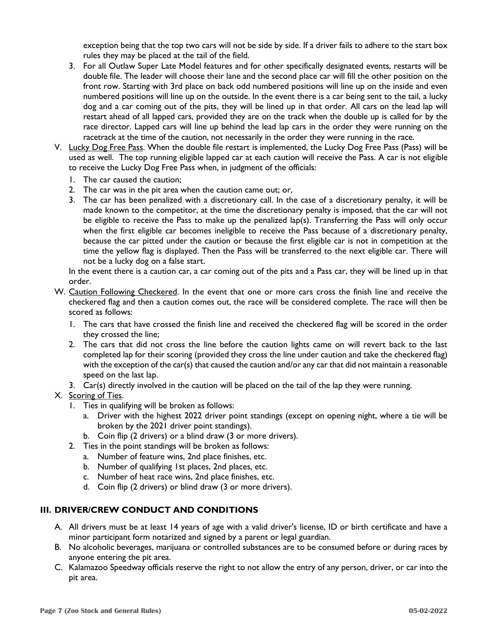exception being that the top two cars will not be side by side. If a driver fails to adhere to the start box rules they may be placed at the tail of the field.

- 3. For all Outlaw Super Late Model features and for other specifically designated events, restarts will be double file. The leader will choose their lane and the second place car will fill the other position on the front row. Starting with 3rd place on back odd numbered positions will line up on the inside and even numbered positions will line up on the outside. In the event there is a car being sent to the tail, a lucky dog and a car coming out of the pits, they will be lined up in that order. All cars on the lead lap will restart ahead of all lapped cars, provided they are on the track when the double up is called for by the race director. Lapped cars will line up behind the lead lap cars in the order they were running on the racetrack at the time of the caution, not necessarily in the order they were running in the race.
- V. Lucky Dog Free Pass. When the double file restart is implemented, the Lucky Dog Free Pass (Pass) will be used as well. The top running eligible lapped car at each caution will receive the Pass. A car is not eligible to receive the Lucky Dog Free Pass when, in judgment of the officials:
	- 1. The car caused the caution;
	- 2. The car was in the pit area when the caution came out; or,
	- 3. The car has been penalized with a discretionary call. In the case of a discretionary penalty, it will be made known to the competitor, at the time the discretionary penalty is imposed, that the car will not be eligible to receive the Pass to make up the penalized lap(s). Transferring the Pass will only occur when the first eligible car becomes ineligible to receive the Pass because of a discretionary penalty, because the car pitted under the caution or because the first eligible car is not in competition at the time the yellow flag is displayed. Then the Pass will be transferred to the next eligible car. There will not be a lucky dog on a false start.

In the event there is a caution car, a car coming out of the pits and a Pass car, they will be lined up in that order.

- W. Caution Following Checkered. In the event that one or more cars cross the finish line and receive the checkered flag and then a caution comes out, the race will be considered complete. The race will then be scored as follows:
	- 1. The cars that have crossed the finish line and received the checkered flag will be scored in the order they crossed the line;
	- 2. The cars that did not cross the line before the caution lights came on will revert back to the last completed lap for their scoring (provided they cross the line under caution and take the checkered flag) with the exception of the car(s) that caused the caution and/or any car that did not maintain a reasonable speed on the last lap.
	- 3. Car(s) directly involved in the caution will be placed on the tail of the lap they were running.

# X. Scoring of Ties.

- 1. Ties in qualifying will be broken as follows:
	- a. Driver with the highest 2022 driver point standings (except on opening night, where a tie will be broken by the 2021 driver point standings).
	- b. Coin flip (2 drivers) or a blind draw (3 or more drivers).
- 2. Ties in the point standings will be broken as follows:
	- a. Number of feature wins, 2nd place finishes, etc.
		- b. Number of qualifying 1st places, 2nd places, etc.
		- c. Number of heat race wins, 2nd place finishes, etc.
		- d. Coin flip (2 drivers) or blind draw (3 or more drivers).

# **III. DRIVER/CREW CONDUCT AND CONDITIONS**

- A. All drivers must be at least 14 years of age with a valid driver's license, ID or birth certificate and have a minor participant form notarized and signed by a parent or legal guardian.
- B. No alcoholic beverages, marijuana or controlled substances are to be consumed before or during races by anyone entering the pit area.
- C. Kalamazoo Speedway officials reserve the right to not allow the entry of any person, driver, or car into the pit area.